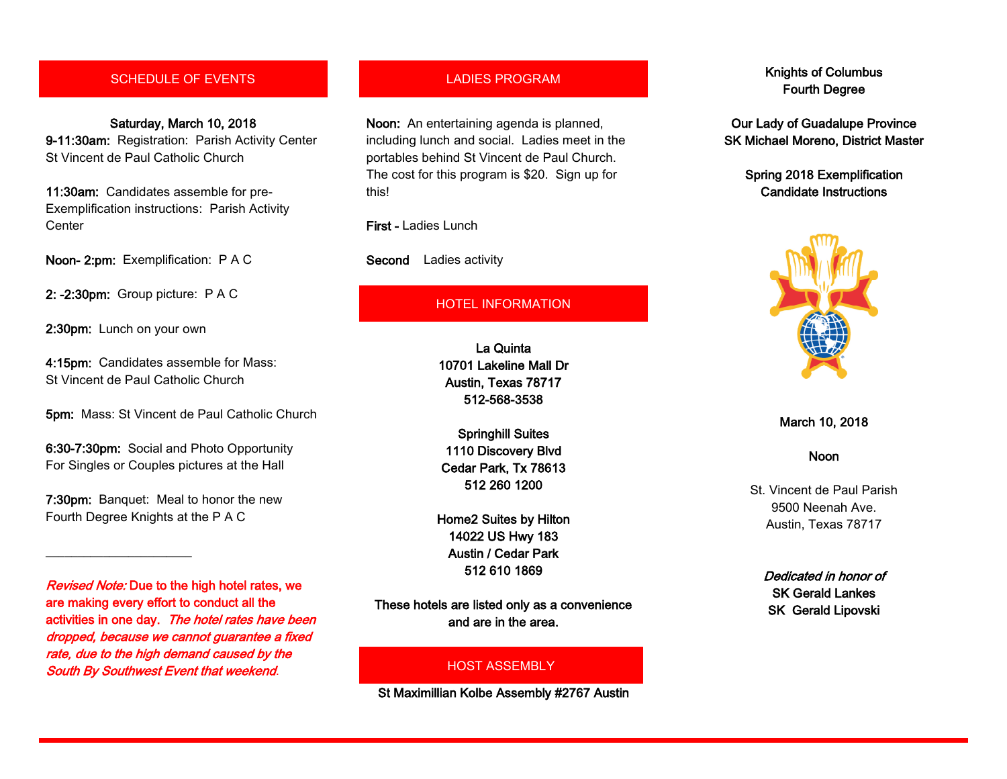# SCHEDULE OF EVENTS

Saturday, March 10, 2018 9-11:30am: Registration: Parish Activity Center St Vincent de Paul Catholic Church

11:30am: Candidates assemble for pre-Exemplification instructions: Parish Activity **Center** 

Noon- 2:pm: Exemplification: P A C

2: -2:30pm: Group picture: P A C

2:30pm: Lunch on your own

\_\_\_\_\_\_\_\_\_\_\_\_\_\_\_\_\_\_\_\_\_\_\_

4:15pm: Candidates assemble for Mass: St Vincent de Paul Catholic Church

5pm: Mass: St Vincent de Paul Catholic Church

6:30-7:30pm: Social and Photo Opportunity For Singles or Couples pictures at the Hall

7:30pm: Banquet: Meal to honor the new Fourth Degree Knights at the P A C

Revised Note: Due to the high hotel rates, we are making every effort to conduct all the activities in one day. The hotel rates have been dropped, because we cannot guarantee a fixed rate, due to the high demand caused by the South By Southwest Event that weekend.

## LADIES PROGRAM

Noon: An entertaining agenda is planned, including lunch and social. Ladies meet in the portables behind St Vincent de Paul Church. The cost for this program is \$20. Sign up for this!

First - Ladies Lunch

Second Ladies activity

### HOTEL INFORMATION

La Quinta 10701 Lakeline Mall Dr Austin, Texas 78717 512-568-3538

Springhill Suites 1110 Discovery Blvd Cedar Park, Tx 78613 512 260 1200

Home2 Suites by Hilton 14022 US Hwy 183 Austin / Cedar Park 512 610 1869

These hotels are listed only as a convenience and are in the area.

#### HOST ASSEMBLY

St Maximillian Kolbe Assembly #2767 Austin

# Knights of Columbus Fourth Degree

Our Lady of Guadalupe Province SK Michael Moreno, District Master

> Spring 2018 Exemplification Candidate Instructions



March 10, 2018

#### Noon

St. Vincent de Paul Parish 9500 Neenah Ave. Austin, Texas 78717

Dedicated in honor of SK Gerald Lankes SK Gerald Lipovski